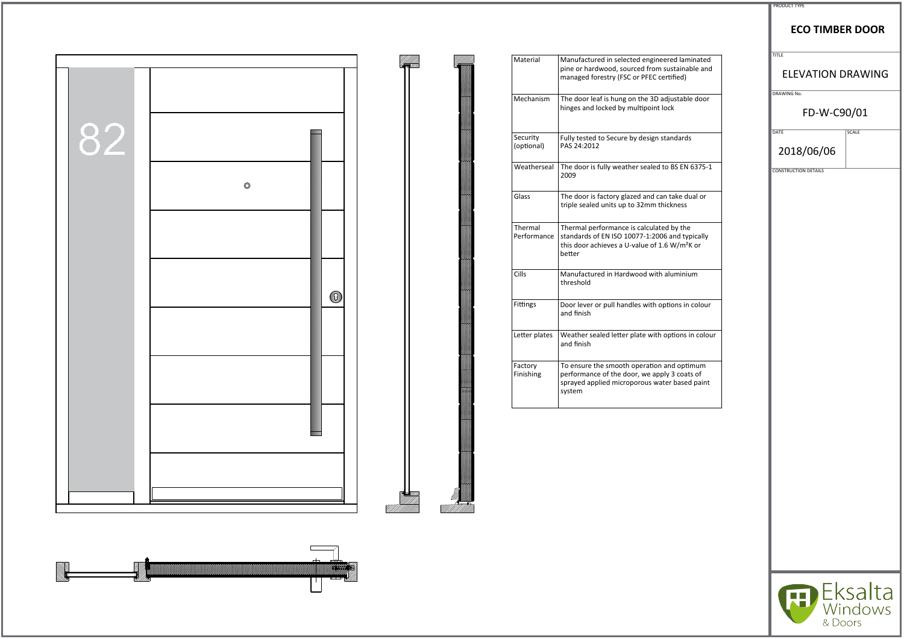|    |                | Material               | Manufactured in selected engineered laminated<br>pine or hardwood, sourced from sustainable and                                                                                 |
|----|----------------|------------------------|---------------------------------------------------------------------------------------------------------------------------------------------------------------------------------|
|    |                |                        | managed forestry (FSC or PFEC certified)                                                                                                                                        |
|    |                | Mechanism              | The door leaf is hung on the 3D adjustable door<br>hinges and locked by multipoint lock                                                                                         |
| 82 |                | Security<br>(optional) | Fully tested to Secure by design standards<br>PAS 24:2012                                                                                                                       |
|    | $\circledcirc$ | Weatherseal            | The door is fully weather sealed to BS EN 6375-1<br>2009                                                                                                                        |
|    |                | Glass                  | The door is factory glazed and can take dual or<br>triple sealed units up to 32mm thickness                                                                                     |
|    |                | Thermal                | Thermal performance is calculated by the<br>Performance   standards of EN ISO 10077-1:2006 and typically<br>this door achieves a U-value of 1.6 W/m <sup>2</sup> K or<br>better |
|    | $\circledcirc$ | $ $ Cills              | Manufactured in Hardwood with aluminium<br>threshold                                                                                                                            |
|    |                | Fittings               | Door lever or pull handles with options in colour<br>and finish                                                                                                                 |
|    |                | Letter plates          | Weather sealed letter plate with options in colour<br>and finish                                                                                                                |
|    |                | Factory<br>Finishing   | To ensure the smooth operation and optimum<br>performance of the door, we apply 3 coats of<br>sprayed applied microporous water based paint<br>system                           |
|    |                |                        |                                                                                                                                                                                 |
|    |                |                        |                                                                                                                                                                                 |
|    |                |                        |                                                                                                                                                                                 |



|                                     | <b>PRODUCT TYPE</b>                      |              |  |
|-------------------------------------|------------------------------------------|--------------|--|
|                                     | <b>ECO TIMBER DOOR</b>                   |              |  |
| minated<br>able and                 | <b>TITLE</b><br><b>ELEVATION DRAWING</b> |              |  |
| ble door                            | DRAWING No.<br>FD-W-C90/01               |              |  |
| ds                                  | DATE<br>2018/06/06                       | <b>SCALE</b> |  |
| $\sqrt{6375-1}$                     | <b>CONSTRUCTION DETAILS</b>              |              |  |
| dual or                             |                                          |              |  |
| ıe<br>ypically<br><sup>2</sup> K or |                                          |              |  |
| ium                                 |                                          |              |  |
| n colour                            |                                          |              |  |
| in colour                           |                                          |              |  |
| timum<br>ats of<br>ed paint         |                                          |              |  |
|                                     |                                          |              |  |
|                                     |                                          |              |  |